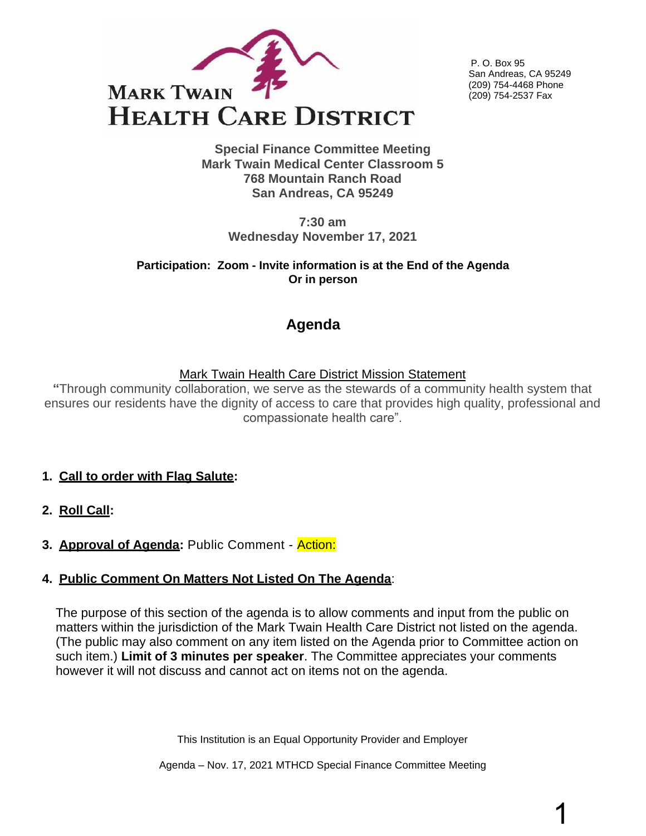

P. O. Box 95 San Andreas, CA 95249 (209) 754-4468 Phone (209) 754-2537 Fax

**Special Finance Committee Meeting Mark Twain Medical Center Classroom 5 768 Mountain Ranch Road San Andreas, CA 95249**

> **7:30 am Wednesday November 17, 2021**

**Participation: Zoom - Invite information is at the End of the Agenda Or in person** 

# **Agenda**

## Mark Twain Health Care District Mission Statement

**"**Through community collaboration, we serve as the stewards of a community health system that ensures our residents have the dignity of access to care that provides high quality, professional and compassionate health care".

- **1. Call to order with Flag Salute:**
- **2. Roll Call:**
- **3. Approval of Agenda:** Public Comment Action:

## **4. Public Comment On Matters Not Listed On The Agenda**:

The purpose of this section of the agenda is to allow comments and input from the public on matters within the jurisdiction of the Mark Twain Health Care District not listed on the agenda. (The public may also comment on any item listed on the Agenda prior to Committee action on such item.) **Limit of 3 minutes per speaker**. The Committee appreciates your comments however it will not discuss and cannot act on items not on the agenda.

This Institution is an Equal Opportunity Provider and Employer

Agenda – Nov. 17, 2021 MTHCD Special Finance Committee Meeting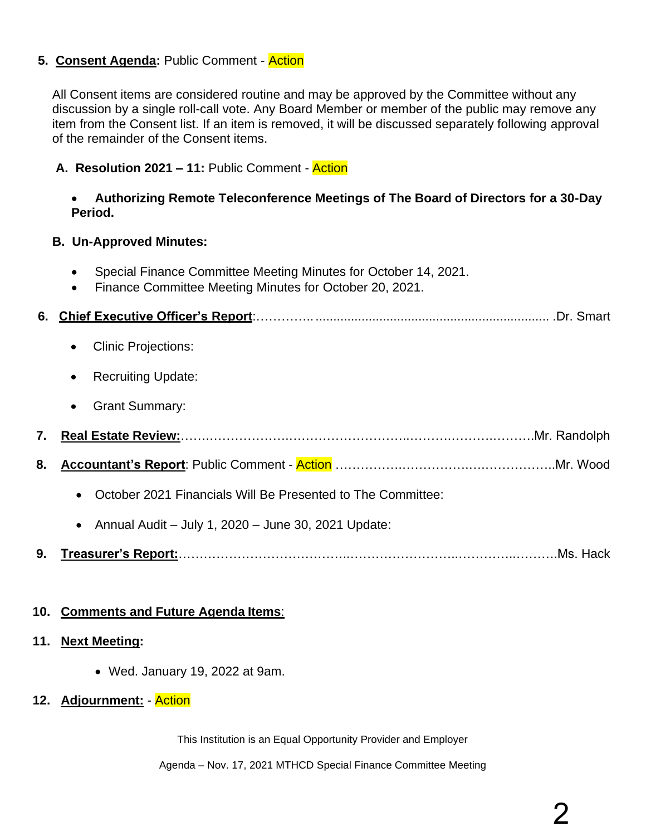## **5. Consent Agenda:** Public Comment - Action

All Consent items are considered routine and may be approved by the Committee without any discussion by a single roll-call vote. Any Board Member or member of the public may remove any item from the Consent list. If an item is removed, it will be discussed separately following approval of the remainder of the Consent items.

#### **A. Resolution 2021 – 11:** Public Comment - Action

#### • **Authorizing Remote Teleconference Meetings of The Board of Directors for a 30-Day Period.**

#### **B. Un-Approved Minutes:**

- Special Finance Committee Meeting Minutes for October 14, 2021.
- Finance Committee Meeting Minutes for October 20, 2021.

|--|--|--|--|--|--|

- Clinic Projections:
- Recruiting Update:
- Grant Summary:
- **7. Real Estate Review:**…….……………….………………………..……….……….……….Mr. Randolph
- **8. Accountant's Report**: Public Comment Action …………….…………….….……………..Mr. Wood
	- October 2021 Financials Will Be Presented to The Committee:
	- Annual Audit July 1, 2020 June 30, 2021 Update:
- **9. Treasurer's Report:**…………………………………..……………………..…………..……….Ms. Hack

#### **10. Comments and Future Agenda Items**:

#### **11. Next Meeting:**

• Wed. January 19, 2022 at 9am.

#### **12. Adjournment:** - Action

This Institution is an Equal Opportunity Provider and Employer

Agenda – Nov. 17, 2021 MTHCD Special Finance Committee Meeting